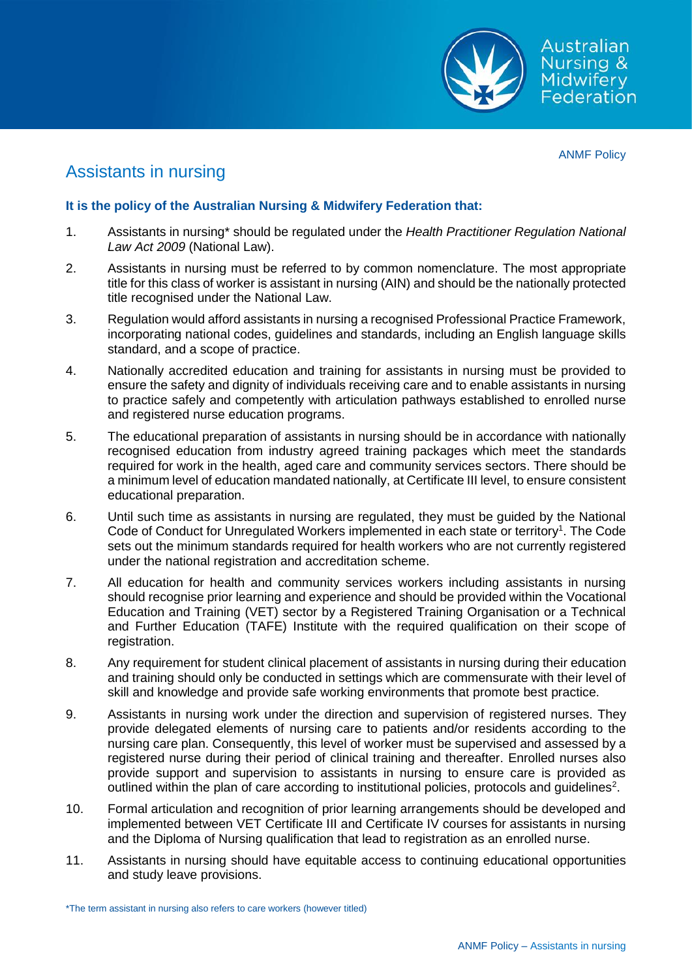

ANMF Policy

## Assistants in nursing

## **It is the policy of the Australian Nursing & Midwifery Federation that:**

- 1. Assistants in nursing\* should be regulated under the *Health Practitioner Regulation National Law Act 2009* (National Law).
- 2. Assistants in nursing must be referred to by common nomenclature. The most appropriate title for this class of worker is assistant in nursing (AIN) and should be the nationally protected title recognised under the National Law.
- 3. Regulation would afford assistants in nursing a recognised Professional Practice Framework, incorporating national codes, guidelines and standards, including an English language skills standard, and a scope of practice.
- 4. Nationally accredited education and training for assistants in nursing must be provided to ensure the safety and dignity of individuals receiving care and to enable assistants in nursing to practice safely and competently with articulation pathways established to enrolled nurse and registered nurse education programs.
- 5. The educational preparation of assistants in nursing should be in accordance with nationally recognised education from industry agreed training packages which meet the standards required for work in the health, aged care and community services sectors. There should be a minimum level of education mandated nationally, at Certificate III level, to ensure consistent educational preparation.
- 6. Until such time as assistants in nursing are regulated, they must be guided by the National Code of Conduct for Unregulated Workers implemented in each state or territory<sup>1</sup>. The Code sets out the minimum standards required for health workers who are not currently registered under the national registration and accreditation scheme.
- 7. All education for health and community services workers including assistants in nursing should recognise prior learning and experience and should be provided within the Vocational Education and Training (VET) sector by a Registered Training Organisation or a Technical and Further Education (TAFE) Institute with the required qualification on their scope of registration.
- 8. Any requirement for student clinical placement of assistants in nursing during their education and training should only be conducted in settings which are commensurate with their level of skill and knowledge and provide safe working environments that promote best practice.
- 9. Assistants in nursing work under the direction and supervision of registered nurses. They provide delegated elements of nursing care to patients and/or residents according to the nursing care plan. Consequently, this level of worker must be supervised and assessed by a registered nurse during their period of clinical training and thereafter. Enrolled nurses also provide support and supervision to assistants in nursing to ensure care is provided as outlined within the plan of care according to institutional policies, protocols and guidelines<sup>2</sup>.
- 10. Formal articulation and recognition of prior learning arrangements should be developed and implemented between VET Certificate III and Certificate IV courses for assistants in nursing and the Diploma of Nursing qualification that lead to registration as an enrolled nurse.
- 11. Assistants in nursing should have equitable access to continuing educational opportunities and study leave provisions.